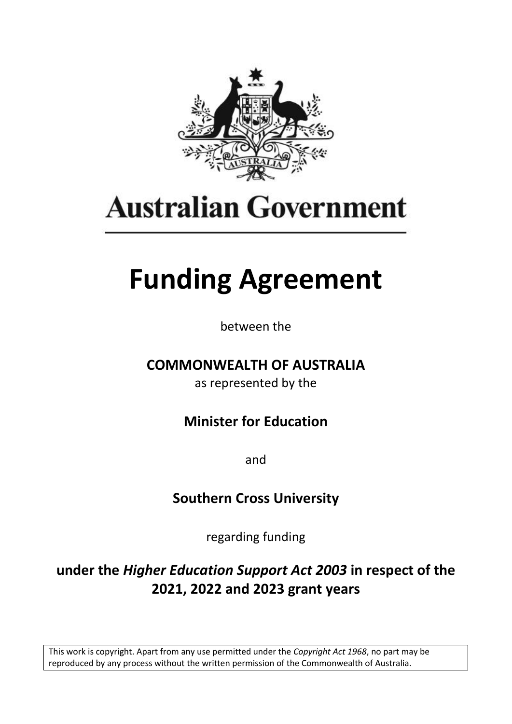

# **Australian Government**

# **Funding Agreement**

between the

# **COMMONWEALTH OF AUSTRALIA**

as represented by the

**Minister for Education** 

and

# **Southern Cross University**

regarding funding

**under the** *Higher Education Support Act 2003* **in respect of the 2021, 2022 and 2023 grant years**

This work is copyright. Apart from any use permitted under the *Copyright Act 1968*, no part may be reproduced by any process without the written permission of the Commonwealth of Australia.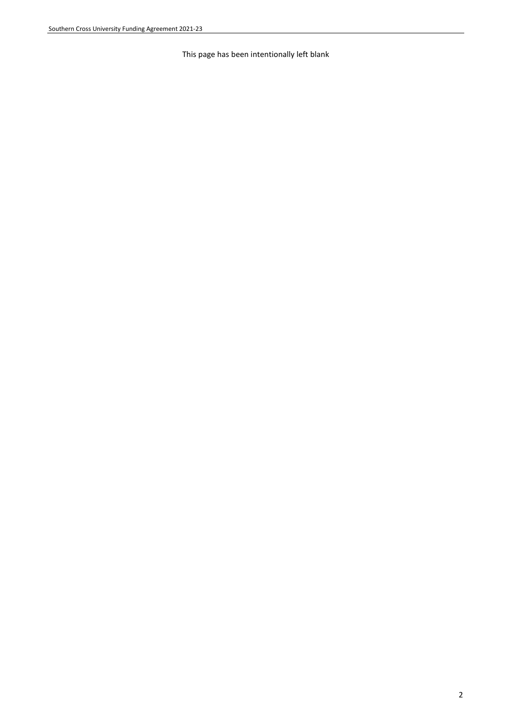This page has been intentionally left blank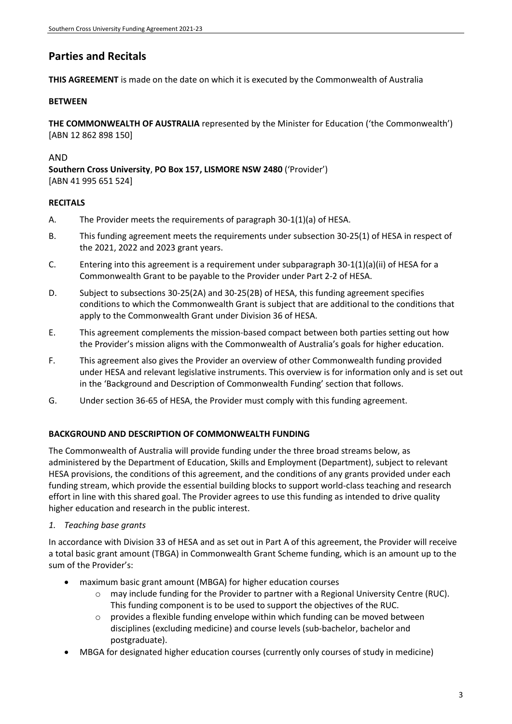# **Parties and Recitals**

**THIS AGREEMENT** is made on the date on which it is executed by the Commonwealth of Australia

# **BETWEEN**

**THE COMMONWEALTH OF AUSTRALIA** represented by the Minister for Education ('the Commonwealth') [ABN 12 862 898 150]

# AND

**Southern Cross University**, **PO Box 157, LISMORE NSW 2480** ('Provider') [ABN 41 995 651 524]

# **RECITALS**

- A. The Provider meets the requirements of paragraph 30-1(1)(a) of HESA.
- B. This funding agreement meets the requirements under subsection 30-25(1) of HESA in respect of the 2021, 2022 and 2023 grant years.
- C. Entering into this agreement is a requirement under subparagraph 30-1(1)(a)(ii) of HESA for a Commonwealth Grant to be payable to the Provider under Part 2-2 of HESA.
- D. Subject to subsections 30-25(2A) and 30-25(2B) of HESA, this funding agreement specifies conditions to which the Commonwealth Grant is subject that are additional to the conditions that apply to the Commonwealth Grant under Division 36 of HESA.
- E. This agreement complements the mission-based compact between both parties setting out how the Provider's mission aligns with the Commonwealth of Australia's goals for higher education.
- F. This agreement also gives the Provider an overview of other Commonwealth funding provided under HESA and relevant legislative instruments. This overview is for information only and is set out in the 'Background and Description of Commonwealth Funding' section that follows.
- G. Under section 36-65 of HESA, the Provider must comply with this funding agreement.

# **BACKGROUND AND DESCRIPTION OF COMMONWEALTH FUNDING**

The Commonwealth of Australia will provide funding under the three broad streams below, as administered by the Department of Education, Skills and Employment (Department), subject to relevant HESA provisions, the conditions of this agreement, and the conditions of any grants provided under each funding stream, which provide the essential building blocks to support world-class teaching and research effort in line with this shared goal. The Provider agrees to use this funding as intended to drive quality higher education and research in the public interest.

# *1. Teaching base grants*

In accordance with Division 33 of HESA and as set out in Part A of this agreement, the Provider will receive a total basic grant amount (TBGA) in Commonwealth Grant Scheme funding, which is an amount up to the sum of the Provider's:

- maximum basic grant amount (MBGA) for higher education courses
	- o may include funding for the Provider to partner with a Regional University Centre (RUC). This funding component is to be used to support the objectives of the RUC.
	- $\circ$  provides a flexible funding envelope within which funding can be moved between disciplines (excluding medicine) and course levels (sub-bachelor, bachelor and postgraduate).
- MBGA for designated higher education courses (currently only courses of study in medicine)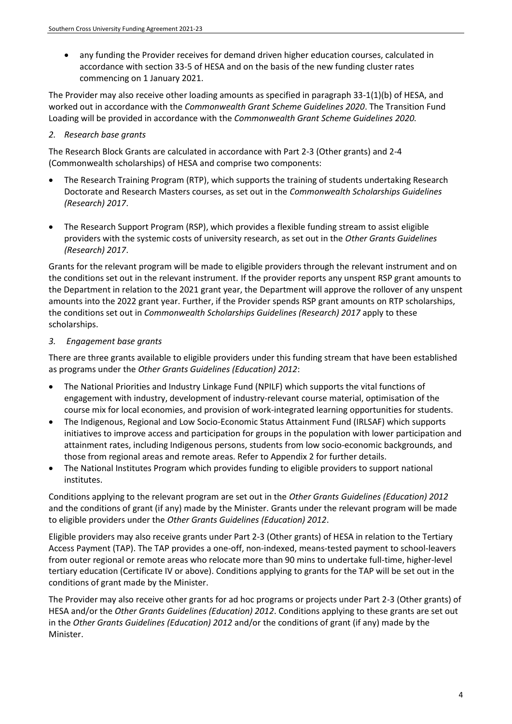• any funding the Provider receives for demand driven higher education courses, calculated in accordance with section 33-5 of HESA and on the basis of the new funding cluster rates commencing on 1 January 2021.

The Provider may also receive other loading amounts as specified in paragraph 33-1(1)(b) of HESA, and worked out in accordance with the *Commonwealth Grant Scheme Guidelines 2020*. The Transition Fund Loading will be provided in accordance with the *Commonwealth Grant Scheme Guidelines 2020.*

*2. Research base grants*

The Research Block Grants are calculated in accordance with Part 2-3 (Other grants) and 2-4 (Commonwealth scholarships) of HESA and comprise two components:

- The Research Training Program (RTP), which supports the training of students undertaking Research Doctorate and Research Masters courses, as set out in the *Commonwealth Scholarships Guidelines (Research) 2017*.
- The Research Support Program (RSP), which provides a flexible funding stream to assist eligible providers with the systemic costs of university research, as set out in the *Other Grants Guidelines (Research) 2017*.

Grants for the relevant program will be made to eligible providers through the relevant instrument and on the conditions set out in the relevant instrument. If the provider reports any unspent RSP grant amounts to the Department in relation to the 2021 grant year, the Department will approve the rollover of any unspent amounts into the 2022 grant year. Further, if the Provider spends RSP grant amounts on RTP scholarships, the conditions set out in *Commonwealth Scholarships Guidelines (Research) 2017* apply to these scholarships.

# *3. Engagement base grants*

There are three grants available to eligible providers under this funding stream that have been established as programs under the *Other Grants Guidelines (Education) 2012*:

- The National Priorities and Industry Linkage Fund (NPILF) which supports the vital functions of engagement with industry, development of industry-relevant course material, optimisation of the course mix for local economies, and provision of work-integrated learning opportunities for students.
- The Indigenous, Regional and Low Socio-Economic Status Attainment Fund (IRLSAF) which supports initiatives to improve access and participation for groups in the population with lower participation and attainment rates, including Indigenous persons, students from low socio-economic backgrounds, and those from regional areas and remote areas. Refer to Appendix 2 for further details.
- The National Institutes Program which provides funding to eligible providers to support national institutes.

Conditions applying to the relevant program are set out in the *Other Grants Guidelines (Education) 2012* and the conditions of grant (if any) made by the Minister. Grants under the relevant program will be made to eligible providers under the *Other Grants Guidelines (Education) 2012*.

Eligible providers may also receive grants under Part 2-3 (Other grants) of HESA in relation to the Tertiary Access Payment (TAP). The TAP provides a one-off, non-indexed, means-tested payment to school-leavers from outer regional or remote areas who relocate more than 90 mins to undertake full-time, higher-level tertiary education (Certificate IV or above). Conditions applying to grants for the TAP will be set out in the conditions of grant made by the Minister.

The Provider may also receive other grants for ad hoc programs or projects under Part 2-3 (Other grants) of HESA and/or the *Other Grants Guidelines (Education) 2012*. Conditions applying to these grants are set out in the *Other Grants Guidelines (Education) 2012* and/or the conditions of grant (if any) made by the Minister.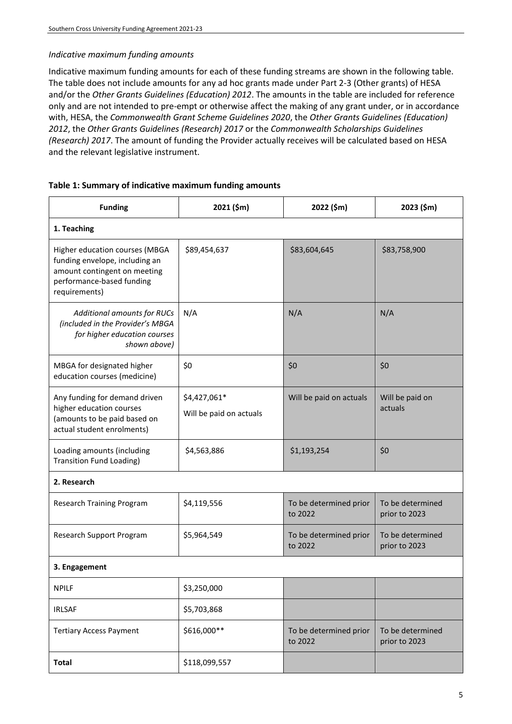#### *Indicative maximum funding amounts*

Indicative maximum funding amounts for each of these funding streams are shown in the following table. The table does not include amounts for any ad hoc grants made under Part 2-3 (Other grants) of HESA and/or the *Other Grants Guidelines (Education) 2012*. The amounts in the table are included for reference only and are not intended to pre-empt or otherwise affect the making of any grant under, or in accordance with, HESA, the *Commonwealth Grant Scheme Guidelines 2020*, the *Other Grants Guidelines (Education) 2012*, the *Other Grants Guidelines (Research) 2017* or the *Commonwealth Scholarships Guidelines (Research) 2017*. The amount of funding the Provider actually receives will be calculated based on HESA and the relevant legislative instrument.

|  | Table 1: Summary of indicative maximum funding amounts |
|--|--------------------------------------------------------|
|--|--------------------------------------------------------|

| <b>Funding</b>                                                                                                                                 | 2021 (\$m)                              | 2022 (\$m)                        | 2023 (\$m)                        |
|------------------------------------------------------------------------------------------------------------------------------------------------|-----------------------------------------|-----------------------------------|-----------------------------------|
| 1. Teaching                                                                                                                                    |                                         |                                   |                                   |
| Higher education courses (MBGA<br>funding envelope, including an<br>amount contingent on meeting<br>performance-based funding<br>requirements) | \$89,454,637                            | \$83,604,645                      | \$83,758,900                      |
| Additional amounts for RUCs<br>(included in the Provider's MBGA<br>for higher education courses<br>shown above)                                | N/A                                     | N/A                               | N/A                               |
| MBGA for designated higher<br>education courses (medicine)                                                                                     | \$0                                     | \$0                               | \$0                               |
| Any funding for demand driven<br>higher education courses<br>(amounts to be paid based on<br>actual student enrolments)                        | \$4,427,061*<br>Will be paid on actuals | Will be paid on actuals           | Will be paid on<br>actuals        |
| Loading amounts (including<br><b>Transition Fund Loading)</b>                                                                                  | \$4,563,886                             | \$1,193,254                       | \$0                               |
| 2. Research                                                                                                                                    |                                         |                                   |                                   |
| Research Training Program                                                                                                                      | \$4,119,556                             | To be determined prior<br>to 2022 | To be determined<br>prior to 2023 |
| Research Support Program                                                                                                                       | \$5,964,549                             | To be determined prior<br>to 2022 | To be determined<br>prior to 2023 |
| 3. Engagement                                                                                                                                  |                                         |                                   |                                   |
| <b>NPILF</b>                                                                                                                                   | \$3,250,000                             |                                   |                                   |
| <b>IRLSAF</b>                                                                                                                                  | \$5,703,868                             |                                   |                                   |
| <b>Tertiary Access Payment</b>                                                                                                                 | \$616,000**                             | To be determined prior<br>to 2022 | To be determined<br>prior to 2023 |
| <b>Total</b>                                                                                                                                   | \$118,099,557                           |                                   |                                   |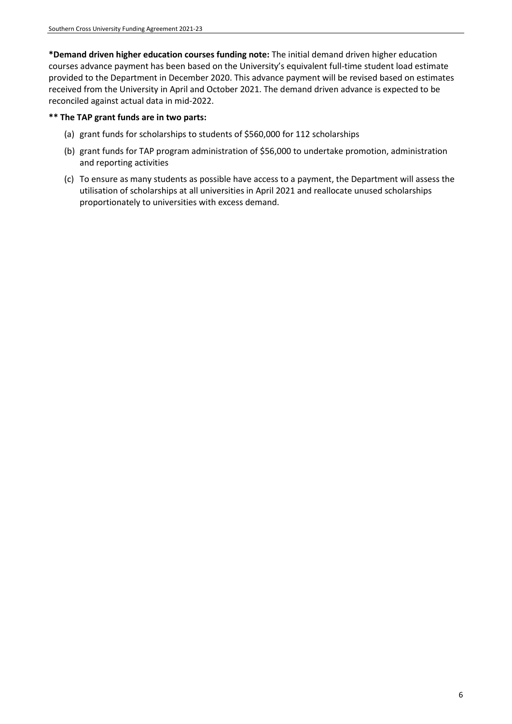**\*Demand driven higher education courses funding note:** The initial demand driven higher education courses advance payment has been based on the University's equivalent full-time student load estimate provided to the Department in December 2020. This advance payment will be revised based on estimates received from the University in April and October 2021. The demand driven advance is expected to be reconciled against actual data in mid-2022.

### **\*\* The TAP grant funds are in two parts:**

- (a) grant funds for scholarships to students of \$560,000 for 112 scholarships
- (b) grant funds for TAP program administration of \$56,000 to undertake promotion, administration and reporting activities
- (c) To ensure as many students as possible have access to a payment, the Department will assess the utilisation of scholarships at all universities in April 2021 and reallocate unused scholarships proportionately to universities with excess demand.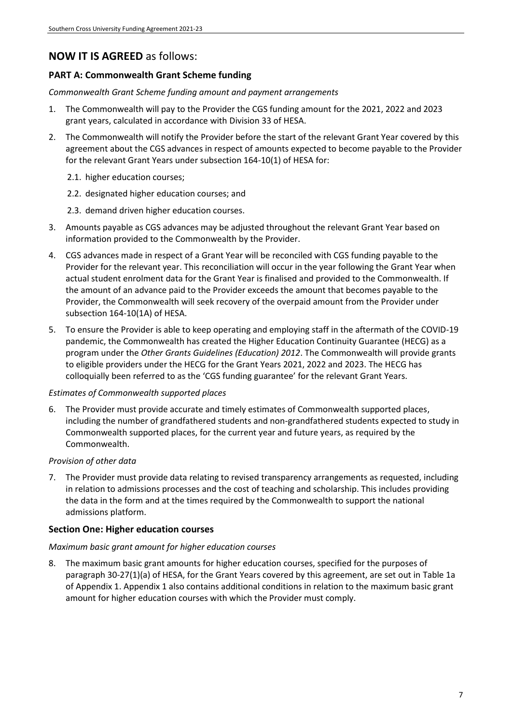# **NOW IT IS AGREED** as follows:

# **PART A: Commonwealth Grant Scheme funding**

*Commonwealth Grant Scheme funding amount and payment arrangements*

- 1. The Commonwealth will pay to the Provider the CGS funding amount for the 2021, 2022 and 2023 grant years, calculated in accordance with Division 33 of HESA.
- 2. The Commonwealth will notify the Provider before the start of the relevant Grant Year covered by this agreement about the CGS advances in respect of amounts expected to become payable to the Provider for the relevant Grant Years under subsection 164-10(1) of HESA for:
	- 2.1. higher education courses;
	- 2.2. designated higher education courses; and
	- 2.3. demand driven higher education courses.
- 3. Amounts payable as CGS advances may be adjusted throughout the relevant Grant Year based on information provided to the Commonwealth by the Provider.
- 4. CGS advances made in respect of a Grant Year will be reconciled with CGS funding payable to the Provider for the relevant year. This reconciliation will occur in the year following the Grant Year when actual student enrolment data for the Grant Year is finalised and provided to the Commonwealth. If the amount of an advance paid to the Provider exceeds the amount that becomes payable to the Provider, the Commonwealth will seek recovery of the overpaid amount from the Provider under subsection 164-10(1A) of HESA.
- 5. To ensure the Provider is able to keep operating and employing staff in the aftermath of the COVID-19 pandemic, the Commonwealth has created the Higher Education Continuity Guarantee (HECG) as a program under the *Other Grants Guidelines (Education) 2012*. The Commonwealth will provide grants to eligible providers under the HECG for the Grant Years 2021, 2022 and 2023. The HECG has colloquially been referred to as the 'CGS funding guarantee' for the relevant Grant Years.

# *Estimates of Commonwealth supported places*

6. The Provider must provide accurate and timely estimates of Commonwealth supported places, including the number of grandfathered students and non-grandfathered students expected to study in Commonwealth supported places, for the current year and future years, as required by the Commonwealth.

# *Provision of other data*

7. The Provider must provide data relating to revised transparency arrangements as requested, including in relation to admissions processes and the cost of teaching and scholarship. This includes providing the data in the form and at the times required by the Commonwealth to support the national admissions platform.

#### **Section One: Higher education courses**

#### *Maximum basic grant amount for higher education courses*

8. The maximum basic grant amounts for higher education courses, specified for the purposes of paragraph 30-27(1)(a) of HESA, for the Grant Years covered by this agreement, are set out in Table 1a of Appendix 1. Appendix 1 also contains additional conditions in relation to the maximum basic grant amount for higher education courses with which the Provider must comply.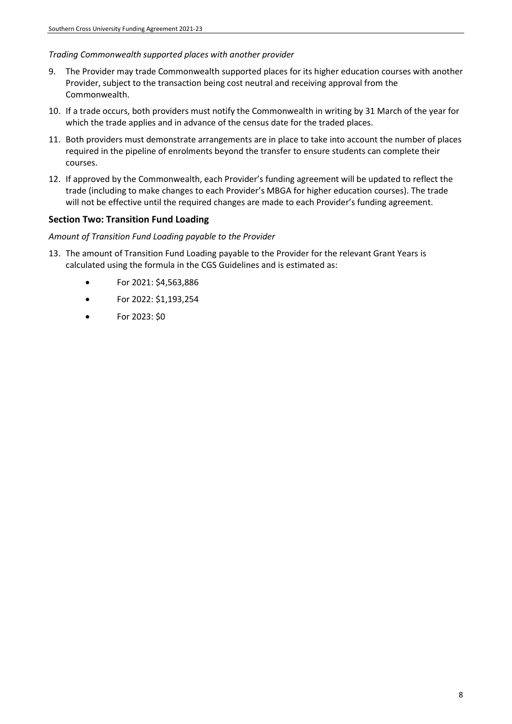#### *Trading Commonwealth supported places with another provider*

- 9. The Provider may trade Commonwealth supported places for its higher education courses with another Provider, subject to the transaction being cost neutral and receiving approval from the Commonwealth.
- 10. If a trade occurs, both providers must notify the Commonwealth in writing by 31 March of the year for which the trade applies and in advance of the census date for the traded places.
- 11. Both providers must demonstrate arrangements are in place to take into account the number of places required in the pipeline of enrolments beyond the transfer to ensure students can complete their courses.
- 12. If approved by the Commonwealth, each Provider's funding agreement will be updated to reflect the trade (including to make changes to each Provider's MBGA for higher education courses). The trade will not be effective until the required changes are made to each Provider's funding agreement.

### **Section Two: Transition Fund Loading**

#### *Amount of Transition Fund Loading payable to the Provider*

- 13. The amount of Transition Fund Loading payable to the Provider for the relevant Grant Years is calculated using the formula in the CGS Guidelines and is estimated as:
	- For 2021: \$4,563,886
	- For 2022: \$1,193,254
	- For 2023: \$0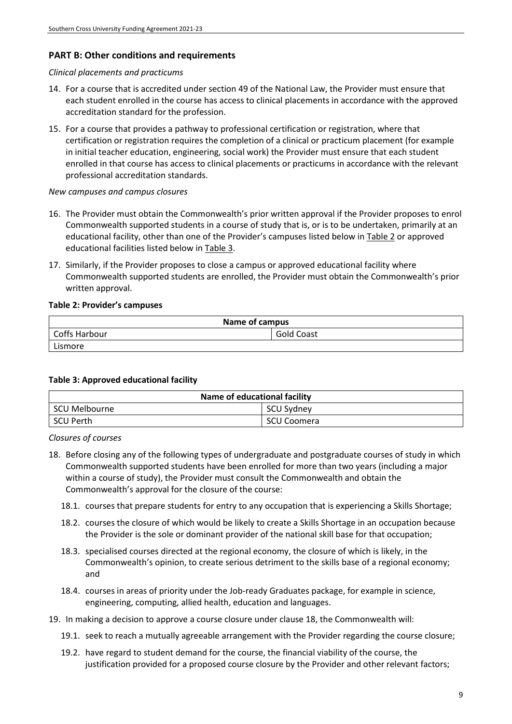#### **PART B: Other conditions and requirements**

#### *Clinical placements and practicums*

- 14. For a course that is accredited under section 49 of the National Law, the Provider must ensure that each student enrolled in the course has access to clinical placements in accordance with the approved accreditation standard for the profession.
- 15. For a course that provides a pathway to professional certification or registration, where that certification or registration requires the completion of a clinical or practicum placement (for example in initial teacher education, engineering, social work) the Provider must ensure that each student enrolled in that course has access to clinical placements or practicums in accordance with the relevant professional accreditation standards.

#### *New campuses and campus closures*

- 16. The Provider must obtain the Commonwealth's prior written approval if the Provider proposes to enrol Commonwealth supported students in a course of study that is, or is to be undertaken, primarily at an educational facility, other than one of the Provider's campuses listed below in Table 2 or approved educational facilities listed below in Table 3.
- 17. Similarly, if the Provider proposes to close a campus or approved educational facility where Commonwealth supported students are enrolled, the Provider must obtain the Commonwealth's prior written approval.

#### **Table 2: Provider's campuses**

| Name of campus |                   |  |
|----------------|-------------------|--|
| Coffs Harbour  | <b>Gold Coast</b> |  |
| Lismore        |                   |  |

#### **Table 3: Approved educational facility**

| Name of educational facility |             |  |
|------------------------------|-------------|--|
| SCU Melbourne                | SCU Sydney  |  |
| SCU Perth                    | SCU Coomera |  |

*Closures of courses*

- 18. Before closing any of the following types of undergraduate and postgraduate courses of study in which Commonwealth supported students have been enrolled for more than two years (including a major within a course of study), the Provider must consult the Commonwealth and obtain the Commonwealth's approval for the closure of the course:
	- 18.1. courses that prepare students for entry to any occupation that is experiencing a Skills Shortage;
	- 18.2. courses the closure of which would be likely to create a Skills Shortage in an occupation because the Provider is the sole or dominant provider of the national skill base for that occupation;
	- 18.3. specialised courses directed at the regional economy, the closure of which is likely, in the Commonwealth's opinion, to create serious detriment to the skills base of a regional economy; and
	- 18.4. courses in areas of priority under the Job-ready Graduates package, for example in science, engineering, computing, allied health, education and languages.
- 19. In making a decision to approve a course closure under clause 18, the Commonwealth will:
	- 19.1. seek to reach a mutually agreeable arrangement with the Provider regarding the course closure;
	- 19.2. have regard to student demand for the course, the financial viability of the course, the justification provided for a proposed course closure by the Provider and other relevant factors;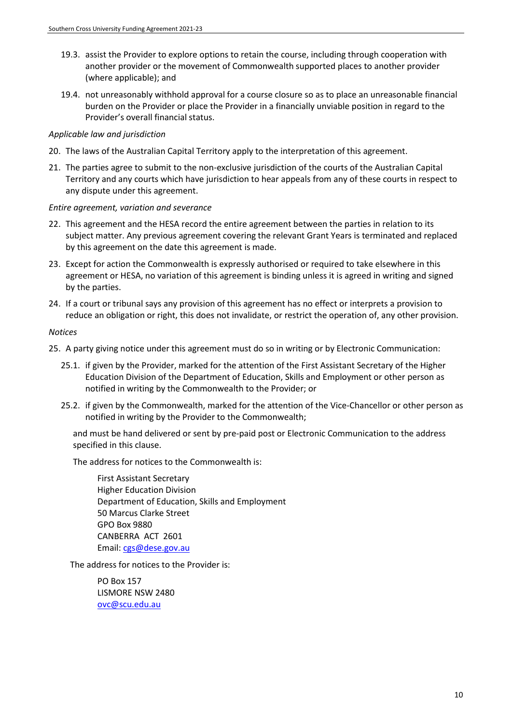- 19.3. assist the Provider to explore options to retain the course, including through cooperation with another provider or the movement of Commonwealth supported places to another provider (where applicable); and
- 19.4. not unreasonably withhold approval for a course closure so as to place an unreasonable financial burden on the Provider or place the Provider in a financially unviable position in regard to the Provider's overall financial status.

#### *Applicable law and jurisdiction*

- 20. The laws of the Australian Capital Territory apply to the interpretation of this agreement.
- 21. The parties agree to submit to the non-exclusive jurisdiction of the courts of the Australian Capital Territory and any courts which have jurisdiction to hear appeals from any of these courts in respect to any dispute under this agreement.

#### *Entire agreement, variation and severance*

- 22. This agreement and the HESA record the entire agreement between the parties in relation to its subject matter. Any previous agreement covering the relevant Grant Years is terminated and replaced by this agreement on the date this agreement is made.
- 23. Except for action the Commonwealth is expressly authorised or required to take elsewhere in this agreement or HESA, no variation of this agreement is binding unless it is agreed in writing and signed by the parties.
- 24. If a court or tribunal says any provision of this agreement has no effect or interprets a provision to reduce an obligation or right, this does not invalidate, or restrict the operation of, any other provision.

*Notices*

- 25. A party giving notice under this agreement must do so in writing or by Electronic Communication:
	- 25.1. if given by the Provider, marked for the attention of the First Assistant Secretary of the Higher Education Division of the Department of Education, Skills and Employment or other person as notified in writing by the Commonwealth to the Provider; or
	- 25.2. if given by the Commonwealth, marked for the attention of the Vice-Chancellor or other person as notified in writing by the Provider to the Commonwealth;

and must be hand delivered or sent by pre-paid post or Electronic Communication to the address specified in this clause.

The address for notices to the Commonwealth is:

First Assistant Secretary Higher Education Division Department of Education, Skills and Employment 50 Marcus Clarke Street GPO Box 9880 CANBERRA ACT 2601 Email: [cgs@dese.gov.au](mailto:cgs@dese.gov.au)

The address for notices to the Provider is:

PO Box 157 LISMORE NSW 2480 [ovc@scu.edu.au](mailto:ovc@scu.edu.au)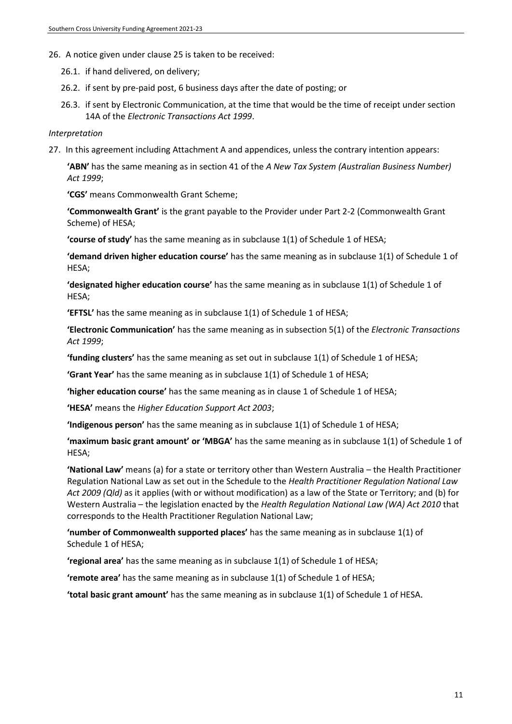- 26. A notice given under clause 25 is taken to be received:
	- 26.1. if hand delivered, on delivery;
	- 26.2. if sent by pre-paid post, 6 business days after the date of posting; or
	- 26.3. if sent by Electronic Communication, at the time that would be the time of receipt under section 14A of the *Electronic Transactions Act 1999*.

#### *Interpretation*

27. In this agreement including Attachment A and appendices, unless the contrary intention appears:

**'ABN'** has the same meaning as in section 41 of the *A New Tax System (Australian Business Number) Act 1999*;

**'CGS'** means Commonwealth Grant Scheme;

**'Commonwealth Grant'** is the grant payable to the Provider under Part 2-2 (Commonwealth Grant Scheme) of HESA;

**'course of study'** has the same meaning as in subclause 1(1) of Schedule 1 of HESA;

**'demand driven higher education course'** has the same meaning as in subclause 1(1) of Schedule 1 of HESA;

**'designated higher education course'** has the same meaning as in subclause 1(1) of Schedule 1 of HESA;

**'EFTSL'** has the same meaning as in subclause 1(1) of Schedule 1 of HESA;

**'Electronic Communication'** has the same meaning as in subsection 5(1) of the *Electronic Transactions Act 1999*;

**'funding clusters'** has the same meaning as set out in subclause 1(1) of Schedule 1 of HESA;

**'Grant Year'** has the same meaning as in subclause 1(1) of Schedule 1 of HESA;

**'higher education course'** has the same meaning as in clause 1 of Schedule 1 of HESA;

**'HESA'** means the *Higher Education Support Act 2003*;

**'Indigenous person'** has the same meaning as in subclause 1(1) of Schedule 1 of HESA;

**'maximum basic grant amount' or 'MBGA'** has the same meaning as in subclause 1(1) of Schedule 1 of HESA;

**'National Law'** means (a) for a state or territory other than Western Australia – the Health Practitioner Regulation National Law as set out in the Schedule to the *Health Practitioner Regulation National Law Act 2009 (Qld)* as it applies (with or without modification) as a law of the State or Territory; and (b) for Western Australia – the legislation enacted by the *Health Regulation National Law (WA) Act 2010* that corresponds to the Health Practitioner Regulation National Law;

**'number of Commonwealth supported places'** has the same meaning as in subclause 1(1) of Schedule 1 of HESA;

**'regional area'** has the same meaning as in subclause 1(1) of Schedule 1 of HESA;

**'remote area'** has the same meaning as in subclause 1(1) of Schedule 1 of HESA;

**'total basic grant amount'** has the same meaning as in subclause 1(1) of Schedule 1 of HESA.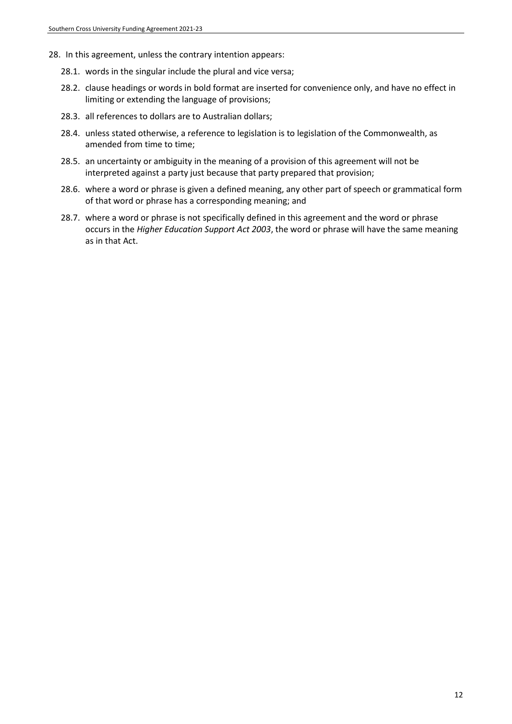- 28. In this agreement, unless the contrary intention appears:
	- 28.1. words in the singular include the plural and vice versa;
	- 28.2. clause headings or words in bold format are inserted for convenience only, and have no effect in limiting or extending the language of provisions;
	- 28.3. all references to dollars are to Australian dollars;
	- 28.4. unless stated otherwise, a reference to legislation is to legislation of the Commonwealth, as amended from time to time;
	- 28.5. an uncertainty or ambiguity in the meaning of a provision of this agreement will not be interpreted against a party just because that party prepared that provision;
	- 28.6. where a word or phrase is given a defined meaning, any other part of speech or grammatical form of that word or phrase has a corresponding meaning; and
	- 28.7. where a word or phrase is not specifically defined in this agreement and the word or phrase occurs in the *Higher Education Support Act 2003*, the word or phrase will have the same meaning as in that Act.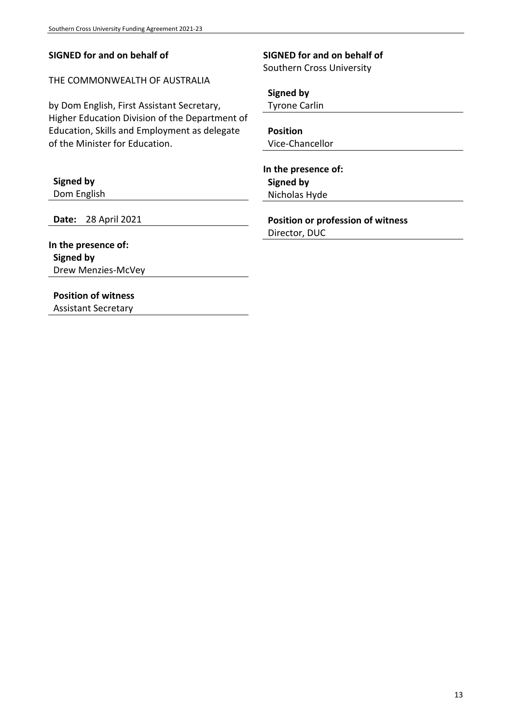#### **SIGNED for and on behalf of**

THE COMMONWEALTH OF AUSTRALIA

by Dom English, First Assistant Secretary, Higher Education Division of the Department of Education, Skills and Employment as delegate of the Minister for Education.

#### **Signed by**

Dom English

**Date:** 28 April 2021

**In the presence of: Signed by**  Drew Menzies-McVey

**Position of witness**  Assistant Secretary **SIGNED for and on behalf of** Southern Cross University

**Signed by**  Tyrone Carlin

**Position** 

Vice-Chancellor

**In the presence of: Signed by**  Nicholas Hyde

**Position or profession of witness**  Director, DUC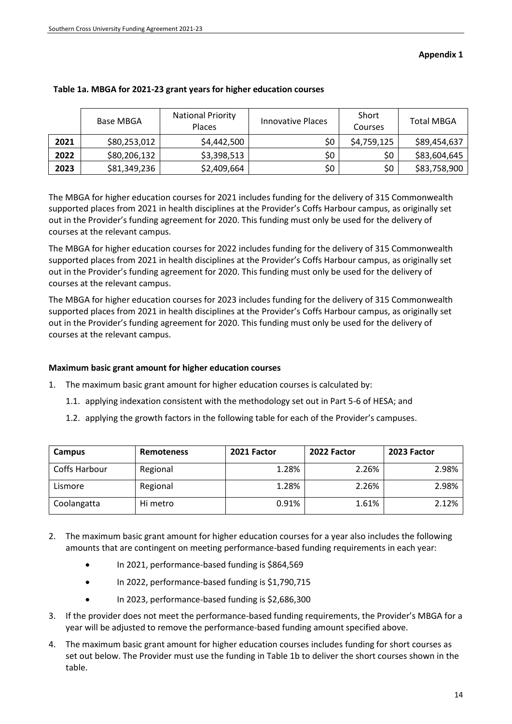#### **Appendix 1**

|      | Base MBGA    | <b>National Priority</b><br><b>Places</b> | Innovative Places | Short<br>Courses | <b>Total MBGA</b> |
|------|--------------|-------------------------------------------|-------------------|------------------|-------------------|
| 2021 | \$80,253,012 | \$4,442,500                               | \$0               | \$4,759,125      | \$89,454,637      |
| 2022 | \$80,206,132 | \$3,398,513                               | \$0               | \$0              | \$83,604,645      |
| 2023 | \$81,349,236 | \$2,409,664                               | \$0               | \$0              | \$83,758,900      |

#### **Table 1a. MBGA for 2021-23 grant years for higher education courses**

The MBGA for higher education courses for 2021 includes funding for the delivery of 315 Commonwealth supported places from 2021 in health disciplines at the Provider's Coffs Harbour campus, as originally set out in the Provider's funding agreement for 2020. This funding must only be used for the delivery of courses at the relevant campus.

The MBGA for higher education courses for 2022 includes funding for the delivery of 315 Commonwealth supported places from 2021 in health disciplines at the Provider's Coffs Harbour campus, as originally set out in the Provider's funding agreement for 2020. This funding must only be used for the delivery of courses at the relevant campus.

The MBGA for higher education courses for 2023 includes funding for the delivery of 315 Commonwealth supported places from 2021 in health disciplines at the Provider's Coffs Harbour campus, as originally set out in the Provider's funding agreement for 2020. This funding must only be used for the delivery of courses at the relevant campus.

#### **Maximum basic grant amount for higher education courses**

- 1. The maximum basic grant amount for higher education courses is calculated by:
	- 1.1. applying indexation consistent with the methodology set out in Part 5-6 of HESA; and
	- 1.2. applying the growth factors in the following table for each of the Provider's campuses.

| <b>Campus</b> | <b>Remoteness</b> | 2021 Factor | 2022 Factor | 2023 Factor |
|---------------|-------------------|-------------|-------------|-------------|
| Coffs Harbour | Regional          | 1.28%       | 2.26%       | 2.98%       |
| Lismore       | Regional          | 1.28%       | 2.26%       | 2.98%       |
| Coolangatta   | Hi metro          | 0.91%       | 1.61%       | 2.12%       |

- 2. The maximum basic grant amount for higher education courses for a year also includes the following amounts that are contingent on meeting performance-based funding requirements in each year:
	- In 2021, performance-based funding is \$864,569
	- In 2022, performance-based funding is \$1,790,715
	- In 2023, performance-based funding is \$2,686,300
- 3. If the provider does not meet the performance-based funding requirements, the Provider's MBGA for a year will be adjusted to remove the performance-based funding amount specified above.
- 4. The maximum basic grant amount for higher education courses includes funding for short courses as set out below. The Provider must use the funding in Table 1b to deliver the short courses shown in the table.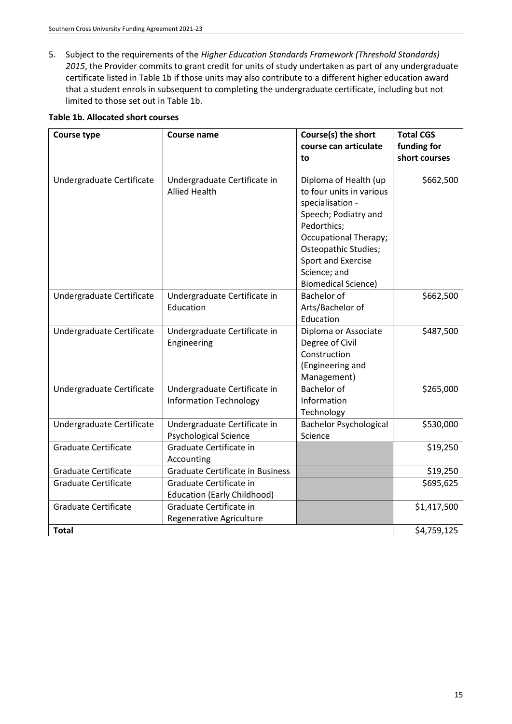5. Subject to the requirements of the *Higher Education Standards Framework (Threshold Standards) 2015*, the Provider commits to grant credit for units of study undertaken as part of any undergraduate certificate listed in Table 1b if those units may also contribute to a different higher education award that a student enrols in subsequent to completing the undergraduate certificate, including but not limited to those set out in Table 1b.

#### **Table 1b. Allocated short courses**

| <b>Course type</b>          | Course name                             | Course(s) the short           | <b>Total CGS</b> |
|-----------------------------|-----------------------------------------|-------------------------------|------------------|
|                             |                                         | course can articulate         | funding for      |
|                             |                                         | to                            | short courses    |
|                             |                                         |                               |                  |
| Undergraduate Certificate   | Undergraduate Certificate in            | Diploma of Health (up         | \$662,500        |
|                             | <b>Allied Health</b>                    | to four units in various      |                  |
|                             |                                         | specialisation -              |                  |
|                             |                                         | Speech; Podiatry and          |                  |
|                             |                                         | Pedorthics;                   |                  |
|                             |                                         | <b>Occupational Therapy;</b>  |                  |
|                             |                                         | <b>Osteopathic Studies;</b>   |                  |
|                             |                                         | Sport and Exercise            |                  |
|                             |                                         | Science; and                  |                  |
|                             |                                         | <b>Biomedical Science)</b>    |                  |
| Undergraduate Certificate   | Undergraduate Certificate in            | <b>Bachelor</b> of            | \$662,500        |
|                             | Education                               | Arts/Bachelor of              |                  |
|                             |                                         | Education                     |                  |
| Undergraduate Certificate   | Undergraduate Certificate in            | Diploma or Associate          | \$487,500        |
|                             | Engineering                             | Degree of Civil               |                  |
|                             |                                         | Construction                  |                  |
|                             |                                         | (Engineering and              |                  |
|                             |                                         | Management)                   |                  |
| Undergraduate Certificate   | Undergraduate Certificate in            | <b>Bachelor</b> of            | \$265,000        |
|                             | <b>Information Technology</b>           | Information                   |                  |
|                             |                                         | Technology                    |                  |
| Undergraduate Certificate   | Undergraduate Certificate in            | <b>Bachelor Psychological</b> | \$530,000        |
|                             | <b>Psychological Science</b>            | Science                       |                  |
| Graduate Certificate        | Graduate Certificate in                 |                               | \$19,250         |
|                             | Accounting                              |                               |                  |
| <b>Graduate Certificate</b> | <b>Graduate Certificate in Business</b> |                               | \$19,250         |
| <b>Graduate Certificate</b> | Graduate Certificate in                 |                               | \$695,625        |
|                             | <b>Education (Early Childhood)</b>      |                               |                  |
| Graduate Certificate        | Graduate Certificate in                 |                               | \$1,417,500      |
|                             | Regenerative Agriculture                |                               |                  |
| <b>Total</b>                |                                         |                               | \$4,759,125      |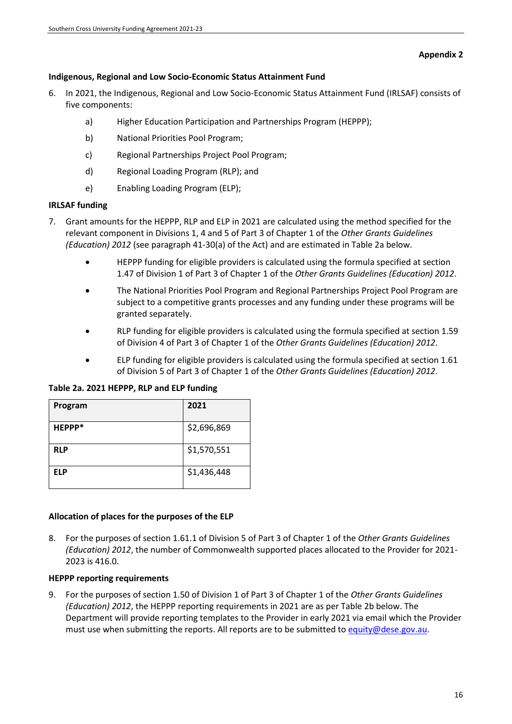#### **Appendix 2**

#### **Indigenous, Regional and Low Socio-Economic Status Attainment Fund**

- 6. In 2021, the Indigenous, Regional and Low Socio-Economic Status Attainment Fund (IRLSAF) consists of five components:
	- a) Higher Education Participation and Partnerships Program (HEPPP);
	- b) National Priorities Pool Program;
	- c) Regional Partnerships Project Pool Program;
	- d) Regional Loading Program (RLP); and
	- e) Enabling Loading Program (ELP);

#### **IRLSAF funding**

- 7. Grant amounts for the HEPPP, RLP and ELP in 2021 are calculated using the method specified for the relevant component in Divisions 1, 4 and 5 of Part 3 of Chapter 1 of the *Other Grants Guidelines (Education) 2012* (see paragraph 41-30(a) of the Act) and are estimated in Table 2a below.
	- HEPPP funding for eligible providers is calculated using the formula specified at section 1.47 of Division 1 of Part 3 of Chapter 1 of the *Other Grants Guidelines (Education) 2012*.
	- The National Priorities Pool Program and Regional Partnerships Project Pool Program are subject to a competitive grants processes and any funding under these programs will be granted separately.
	- RLP funding for eligible providers is calculated using the formula specified at section 1.59 of Division 4 of Part 3 of Chapter 1 of the *Other Grants Guidelines (Education) 2012*.
	- ELP funding for eligible providers is calculated using the formula specified at section 1.61 of Division 5 of Part 3 of Chapter 1 of the *Other Grants Guidelines (Education) 2012*.

| Table 2a. 2021 HEPPP, RLP and ELP funding |  |  |  |  |
|-------------------------------------------|--|--|--|--|
|-------------------------------------------|--|--|--|--|

| Program    | 2021        |
|------------|-------------|
| HEPPP*     | \$2,696,869 |
| <b>RLP</b> | \$1,570,551 |
| <b>ELP</b> | \$1,436,448 |

#### **Allocation of places for the purposes of the ELP**

8. For the purposes of section 1.61.1 of Division 5 of Part 3 of Chapter 1 of the *Other Grants Guidelines (Education) 2012*, the number of Commonwealth supported places allocated to the Provider for 2021- 2023 is 416.0.

#### **HEPPP reporting requirements**

9. For the purposes of section 1.50 of Division 1 of Part 3 of Chapter 1 of the *Other Grants Guidelines (Education) 2012*, the HEPPP reporting requirements in 2021 are as per Table 2b below. The Department will provide reporting templates to the Provider in early 2021 via email which the Provider must use when submitting the reports. All reports are to be submitted to [equity@dese.gov.au.](mailto:equity@dese.gov.au)